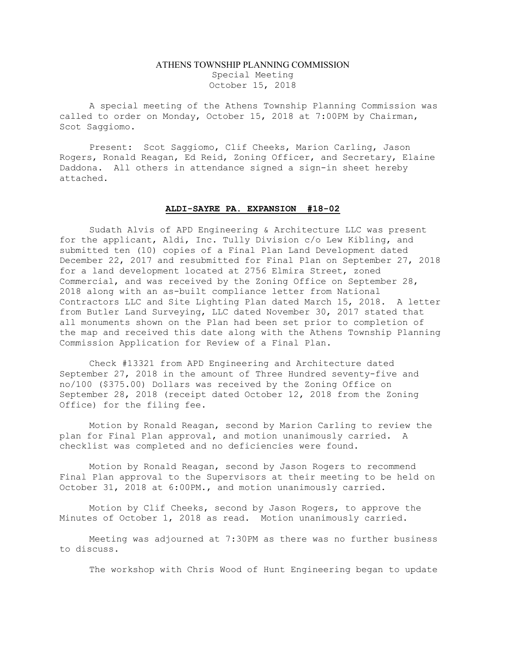## ATHENS TOWNSHIP PLANNING COMMISSION Special Meeting October 15, 2018

A special meeting of the Athens Township Planning Commission was called to order on Monday, October 15, 2018 at 7:00PM by Chairman, Scot Saggiomo.

Present: Scot Saggiomo, Clif Cheeks, Marion Carling, Jason Rogers, Ronald Reagan, Ed Reid, Zoning Officer, and Secretary, Elaine Daddona. All others in attendance signed a sign-in sheet hereby attached.

## ALDI-SAYRE PA. EXPANSION #18-02

 Sudath Alvis of APD Engineering & Architecture LLC was present for the applicant, Aldi, Inc. Tully Division c/o Lew Kibling, and submitted ten (10) copies of a Final Plan Land Development dated December 22, 2017 and resubmitted for Final Plan on September 27, 2018 for a land development located at 2756 Elmira Street, zoned Commercial, and was received by the Zoning Office on September 28, 2018 along with an as-built compliance letter from National Contractors LLC and Site Lighting Plan dated March 15, 2018. A letter from Butler Land Surveying, LLC dated November 30, 2017 stated that all monuments shown on the Plan had been set prior to completion of the map and received this date along with the Athens Township Planning Commission Application for Review of a Final Plan.

 Check #13321 from APD Engineering and Architecture dated September 27, 2018 in the amount of Three Hundred seventy-five and no/100 (\$375.00) Dollars was received by the Zoning Office on September 28, 2018 (receipt dated October 12, 2018 from the Zoning Office) for the filing fee.

 Motion by Ronald Reagan, second by Marion Carling to review the plan for Final Plan approval, and motion unanimously carried. A checklist was completed and no deficiencies were found.

Motion by Ronald Reagan, second by Jason Rogers to recommend Final Plan approval to the Supervisors at their meeting to be held on October 31, 2018 at 6:00PM., and motion unanimously carried.

Motion by Clif Cheeks, second by Jason Rogers, to approve the Minutes of October 1, 2018 as read. Motion unanimously carried.

Meeting was adjourned at 7:30PM as there was no further business to discuss.

The workshop with Chris Wood of Hunt Engineering began to update